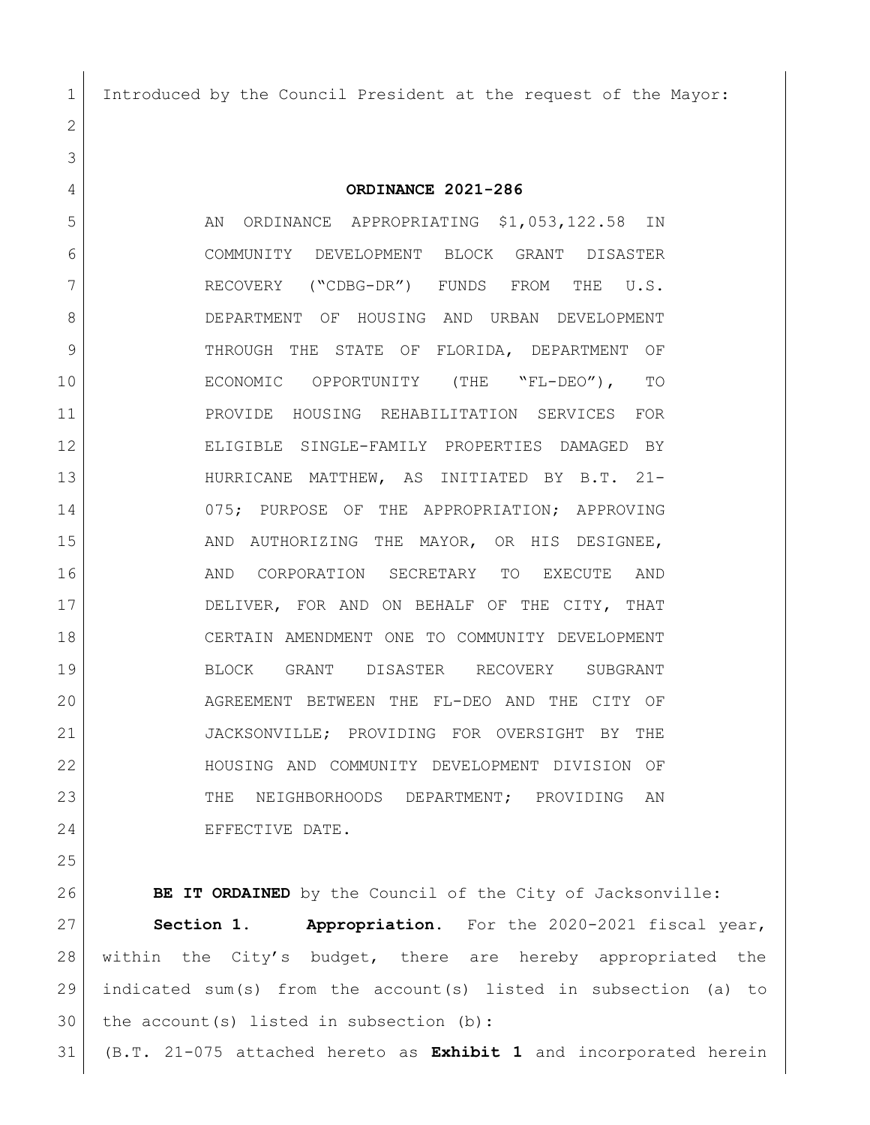Introduced by the Council President at the request of the Mayor:

 **ORDINANCE 2021-286** 5 AN ORDINANCE APPROPRIATING \$1,053,122.58 IN COMMUNITY DEVELOPMENT BLOCK GRANT DISASTER RECOVERY ("CDBG-DR") FUNDS FROM THE U.S. DEPARTMENT OF HOUSING AND URBAN DEVELOPMENT 9 THROUGH THE STATE OF FLORIDA, DEPARTMENT OF ECONOMIC OPPORTUNITY (THE "FL-DEO"), TO PROVIDE HOUSING REHABILITATION SERVICES FOR ELIGIBLE SINGLE-FAMILY PROPERTIES DAMAGED BY HURRICANE MATTHEW, AS INITIATED BY B.T. 21- 075; PURPOSE OF THE APPROPRIATION; APPROVING 15 AND AUTHORIZING THE MAYOR, OR HIS DESIGNEE, AND CORPORATION SECRETARY TO EXECUTE AND 17 DELIVER, FOR AND ON BEHALF OF THE CITY, THAT CERTAIN AMENDMENT ONE TO COMMUNITY DEVELOPMENT BLOCK GRANT DISASTER RECOVERY SUBGRANT AGREEMENT BETWEEN THE FL-DEO AND THE CITY OF JACKSONVILLE; PROVIDING FOR OVERSIGHT BY THE HOUSING AND COMMUNITY DEVELOPMENT DIVISION OF 23 THE NEIGHBORHOODS DEPARTMENT; PROVIDING AN 24 EFFECTIVE DATE.

 **BE IT ORDAINED** by the Council of the City of Jacksonville: **Section 1. Appropriation.** For the 2020-2021 fiscal year, 28 | within the City's budget, there are hereby appropriated the indicated sum(s) from the account(s) listed in subsection (a) to the account(s) listed in subsection (b):

(B.T. 21-075 attached hereto as **Exhibit 1** and incorporated herein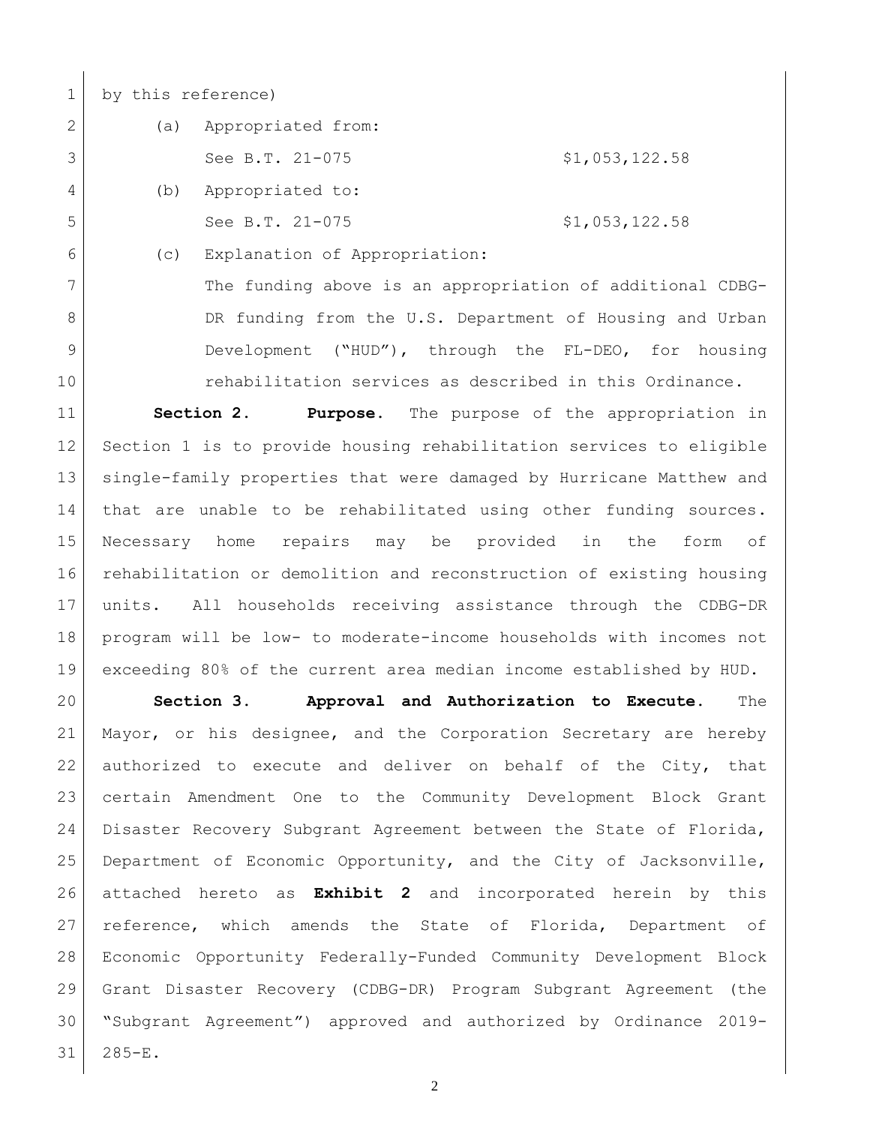by this reference)

2 (a) Appropriated from: See B.T. 21-075  $\frac{1}{2}$  \$1,053,122.58 (b) Appropriated to: 5 See B.T. 21-075 \$1,053,122.58

(c) Explanation of Appropriation:

 The funding above is an appropriation of additional CDBG-8 DR funding from the U.S. Department of Housing and Urban Development ("HUD"), through the FL-DEO, for housing rehabilitation services as described in this Ordinance.

 **Section 2. Purpose.** The purpose of the appropriation in Section 1 is to provide housing rehabilitation services to eligible single-family properties that were damaged by Hurricane Matthew and that are unable to be rehabilitated using other funding sources. Necessary home repairs may be provided in the form of rehabilitation or demolition and reconstruction of existing housing units. All households receiving assistance through the CDBG-DR program will be low- to moderate-income households with incomes not exceeding 80% of the current area median income established by HUD.

 **Section 3. Approval and Authorization to Execute.** The Mayor, or his designee, and the Corporation Secretary are hereby authorized to execute and deliver on behalf of the City, that certain Amendment One to the Community Development Block Grant Disaster Recovery Subgrant Agreement between the State of Florida, Department of Economic Opportunity, and the City of Jacksonville, attached hereto as **Exhibit 2** and incorporated herein by this reference, which amends the State of Florida, Department of Economic Opportunity Federally-Funded Community Development Block Grant Disaster Recovery (CDBG-DR) Program Subgrant Agreement (the "Subgrant Agreement") approved and authorized by Ordinance 2019- 285-E.